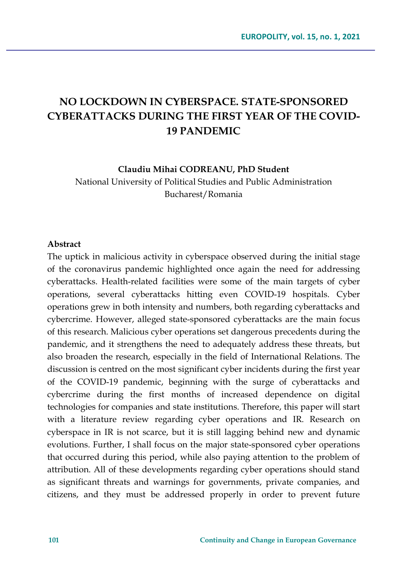# **NO LOCKDOWN IN CYBERSPACE. STATE-SPONSORED CYBERATTACKS DURING THE FIRST YEAR OF THE COVID-19 PANDEMIC**

**Claudiu Mihai CODREANU, PhD Student**

National University of Political Studies and Public Administration Bucharest/Romania

#### **Abstract**

The uptick in malicious activity in cyberspace observed during the initial stage of the coronavirus pandemic highlighted once again the need for addressing cyberattacks. Health-related facilities were some of the main targets of cyber operations, several cyberattacks hitting even COVID-19 hospitals. Cyber operations grew in both intensity and numbers, both regarding cyberattacks and cybercrime. However, alleged state-sponsored cyberattacks are the main focus of this research. Malicious cyber operations set dangerous precedents during the pandemic, and it strengthens the need to adequately address these threats, but also broaden the research, especially in the field of International Relations. The discussion is centred on the most significant cyber incidents during the first year of the COVID-19 pandemic, beginning with the surge of cyberattacks and cybercrime during the first months of increased dependence on digital technologies for companies and state institutions. Therefore, this paper will start with a literature review regarding cyber operations and IR. Research on cyberspace in IR is not scarce, but it is still lagging behind new and dynamic evolutions. Further, I shall focus on the major state-sponsored cyber operations that occurred during this period, while also paying attention to the problem of attribution. All of these developments regarding cyber operations should stand as significant threats and warnings for governments, private companies, and citizens, and they must be addressed properly in order to prevent future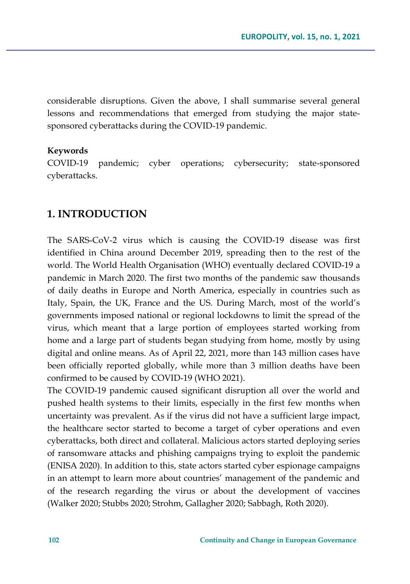considerable disruptions. Given the above, I shall summarise several general lessons and recommendations that emerged from studying the major statesponsored cyberattacks during the COVID-19 pandemic.

#### **Keywords**

COVID-19 pandemic; cyber operations; cybersecurity; state-sponsored cyberattacks.

# **1. INTRODUCTION**

The SARS-CoV-2 virus which is causing the COVID-19 disease was first identified in China around December 2019, spreading then to the rest of the world. The World Health Organisation (WHO) eventually declared COVID-19 a pandemic in March 2020. The first two months of the pandemic saw thousands of daily deaths in Europe and North America, especially in countries such as Italy, Spain, the UK, France and the US. During March, most of the world's governments imposed national or regional lockdowns to limit the spread of the virus, which meant that a large portion of employees started working from home and a large part of students began studying from home, mostly by using digital and online means. As of April 22, 2021, more than 143 million cases have been officially reported globally, while more than 3 million deaths have been confirmed to be caused by COVID-19 (WHO 2021).

The COVID-19 pandemic caused significant disruption all over the world and pushed health systems to their limits, especially in the first few months when uncertainty was prevalent. As if the virus did not have a sufficient large impact, the healthcare sector started to become a target of cyber operations and even cyberattacks, both direct and collateral. Malicious actors started deploying series of ransomware attacks and phishing campaigns trying to exploit the pandemic (ENISA 2020). In addition to this, state actors started cyber espionage campaigns in an attempt to learn more about countries' management of the pandemic and of the research regarding the virus or about the development of vaccines (Walker 2020; Stubbs 2020; Strohm, Gallagher 2020; Sabbagh, Roth 2020).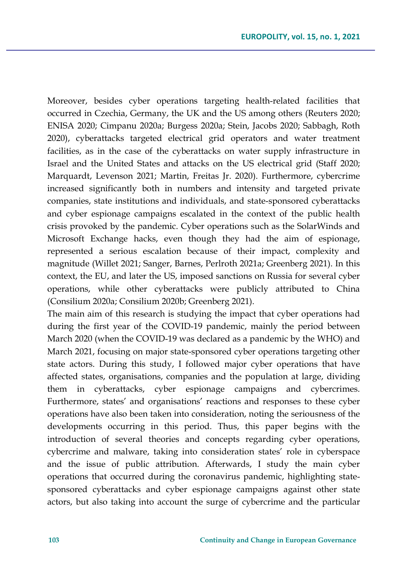Moreover, besides cyber operations targeting health-related facilities that occurred in Czechia, Germany, the UK and the US among others (Reuters 2020; ENISA 2020; Cimpanu 2020a; Burgess 2020a; Stein, Jacobs 2020; Sabbagh, Roth 2020), cyberattacks targeted electrical grid operators and water treatment facilities, as in the case of the cyberattacks on water supply infrastructure in Israel and the United States and attacks on the US electrical grid (Staff 2020; Marquardt, Levenson 2021; Martin, Freitas Jr. 2020). Furthermore, cybercrime increased significantly both in numbers and intensity and targeted private companies, state institutions and individuals, and state-sponsored cyberattacks and cyber espionage campaigns escalated in the context of the public health crisis provoked by the pandemic. Cyber operations such as the SolarWinds and Microsoft Exchange hacks, even though they had the aim of espionage, represented a serious escalation because of their impact, complexity and magnitude (Willet 2021; Sanger, Barnes, Perlroth 2021a; Greenberg 2021). In this context, the EU, and later the US, imposed sanctions on Russia for several cyber operations, while other cyberattacks were publicly attributed to China (Consilium 2020a; Consilium 2020b; Greenberg 2021).

The main aim of this research is studying the impact that cyber operations had during the first year of the COVID-19 pandemic, mainly the period between March 2020 (when the COVID-19 was declared as a pandemic by the WHO) and March 2021, focusing on major state-sponsored cyber operations targeting other state actors. During this study, I followed major cyber operations that have affected states, organisations, companies and the population at large, dividing them in cyberattacks, cyber espionage campaigns and cybercrimes. Furthermore, states' and organisations' reactions and responses to these cyber operations have also been taken into consideration, noting the seriousness of the developments occurring in this period. Thus, this paper begins with the introduction of several theories and concepts regarding cyber operations, cybercrime and malware, taking into consideration states' role in cyberspace and the issue of public attribution. Afterwards, I study the main cyber operations that occurred during the coronavirus pandemic, highlighting statesponsored cyberattacks and cyber espionage campaigns against other state actors, but also taking into account the surge of cybercrime and the particular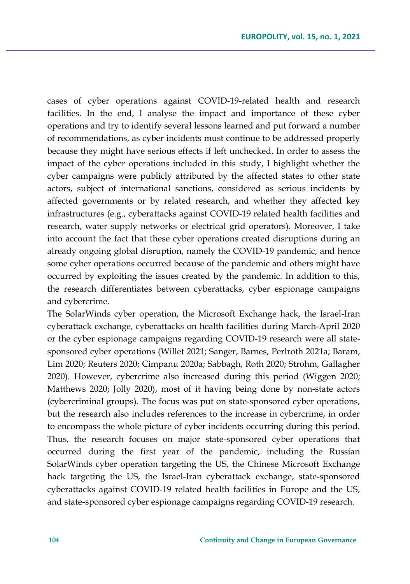cases of cyber operations against COVID-19-related health and research facilities. In the end, I analyse the impact and importance of these cyber operations and try to identify several lessons learned and put forward a number of recommendations, as cyber incidents must continue to be addressed properly because they might have serious effects if left unchecked. In order to assess the impact of the cyber operations included in this study, I highlight whether the cyber campaigns were publicly attributed by the affected states to other state actors, subject of international sanctions, considered as serious incidents by affected governments or by related research, and whether they affected key infrastructures (e.g., cyberattacks against COVID-19 related health facilities and research, water supply networks or electrical grid operators). Moreover, I take into account the fact that these cyber operations created disruptions during an already ongoing global disruption, namely the COVID-19 pandemic, and hence some cyber operations occurred because of the pandemic and others might have occurred by exploiting the issues created by the pandemic. In addition to this, the research differentiates between cyberattacks, cyber espionage campaigns and cybercrime.

The SolarWinds cyber operation, the Microsoft Exchange hack, the Israel-Iran cyberattack exchange, cyberattacks on health facilities during March-April 2020 or the cyber espionage campaigns regarding COVID-19 research were all statesponsored cyber operations (Willet 2021; Sanger, Barnes, Perlroth 2021a; Baram, Lim 2020; Reuters 2020; Cimpanu 2020a; Sabbagh, Roth 2020; Strohm, Gallagher 2020). However, cybercrime also increased during this period (Wiggen 2020; Matthews 2020; Jolly 2020), most of it having being done by non-state actors (cybercriminal groups). The focus was put on state-sponsored cyber operations, but the research also includes references to the increase in cybercrime, in order to encompass the whole picture of cyber incidents occurring during this period. Thus, the research focuses on major state-sponsored cyber operations that occurred during the first year of the pandemic, including the Russian SolarWinds cyber operation targeting the US, the Chinese Microsoft Exchange hack targeting the US, the Israel-Iran cyberattack exchange, state-sponsored cyberattacks against COVID-19 related health facilities in Europe and the US, and state-sponsored cyber espionage campaigns regarding COVID-19 research.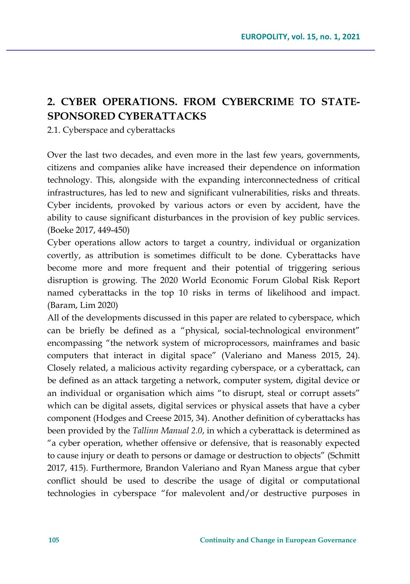# **2. CYBER OPERATIONS. FROM CYBERCRIME TO STATE-SPONSORED CYBERATTACKS**

2.1. Cyberspace and cyberattacks

Over the last two decades, and even more in the last few years, governments, citizens and companies alike have increased their dependence on information technology. This, alongside with the expanding interconnectedness of critical infrastructures, has led to new and significant vulnerabilities, risks and threats. Cyber incidents, provoked by various actors or even by accident, have the ability to cause significant disturbances in the provision of key public services. (Boeke 2017, 449-450)

Cyber operations allow actors to target a country, individual or organization covertly, as attribution is sometimes difficult to be done. Cyberattacks have become more and more frequent and their potential of triggering serious disruption is growing. The 2020 World Economic Forum Global Risk Report named cyberattacks in the top 10 risks in terms of likelihood and impact. (Baram, Lim 2020)

All of the developments discussed in this paper are related to cyberspace, which can be briefly be defined as a "physical, social-technological environment" encompassing "the network system of microprocessors, mainframes and basic computers that interact in digital space" (Valeriano and Maness 2015, 24). Closely related, a malicious activity regarding cyberspace, or a cyberattack, can be defined as an attack targeting a network, computer system, digital device or an individual or organisation which aims "to disrupt, steal or corrupt assets" which can be digital assets, digital services or physical assets that have a cyber component (Hodges and Creese 2015, 34). Another definition of cyberattacks has been provided by the *Tallinn Manual 2.0*, in which a cyberattack is determined as "a cyber operation, whether offensive or defensive, that is reasonably expected to cause injury or death to persons or damage or destruction to objects" (Schmitt 2017, 415). Furthermore, Brandon Valeriano and Ryan Maness argue that cyber conflict should be used to describe the usage of digital or computational technologies in cyberspace "for malevolent and/or destructive purposes in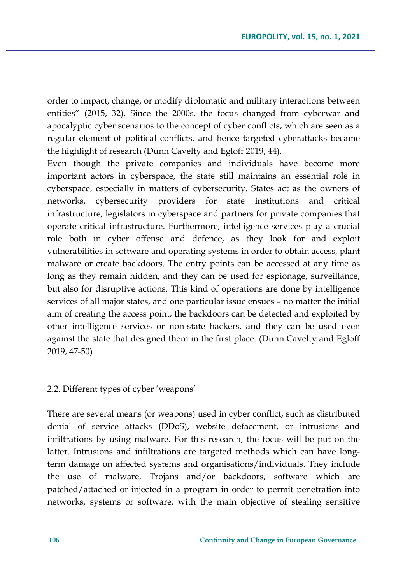order to impact, change, or modify diplomatic and military interactions between entities" (2015, 32). Since the 2000s, the focus changed from cyberwar and apocalyptic cyber scenarios to the concept of cyber conflicts, which are seen as a regular element of political conflicts, and hence targeted cyberattacks became the highlight of research (Dunn Cavelty and Egloff 2019, 44).

Even though the private companies and individuals have become more important actors in cyberspace, the state still maintains an essential role in cyberspace, especially in matters of cybersecurity. States act as the owners of networks, cybersecurity providers for state institutions and critical infrastructure, legislators in cyberspace and partners for private companies that operate critical infrastructure. Furthermore, intelligence services play a crucial role both in cyber offense and defence, as they look for and exploit vulnerabilities in software and operating systems in order to obtain access, plant malware or create backdoors. The entry points can be accessed at any time as long as they remain hidden, and they can be used for espionage, surveillance, but also for disruptive actions. This kind of operations are done by intelligence services of all major states, and one particular issue ensues – no matter the initial aim of creating the access point, the backdoors can be detected and exploited by other intelligence services or non-state hackers, and they can be used even against the state that designed them in the first place. (Dunn Cavelty and Egloff 2019, 47-50)

#### 2.2. Different types of cyber 'weapons'

There are several means (or weapons) used in cyber conflict, such as distributed denial of service attacks (DDoS), website defacement, or intrusions and infiltrations by using malware. For this research, the focus will be put on the latter. Intrusions and infiltrations are targeted methods which can have longterm damage on affected systems and organisations/individuals. They include the use of malware, Trojans and/or backdoors, software which are patched/attached or injected in a program in order to permit penetration into networks, systems or software, with the main objective of stealing sensitive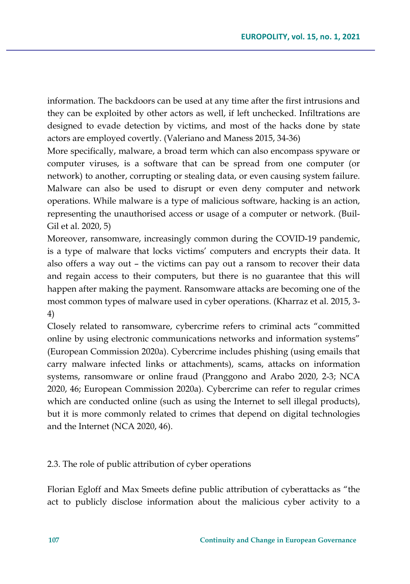information. The backdoors can be used at any time after the first intrusions and they can be exploited by other actors as well, if left unchecked. Infiltrations are designed to evade detection by victims, and most of the hacks done by state actors are employed covertly. (Valeriano and Maness 2015, 34-36)

More specifically, malware, a broad term which can also encompass spyware or computer viruses, is a software that can be spread from one computer (or network) to another, corrupting or stealing data, or even causing system failure. Malware can also be used to disrupt or even deny computer and network operations. While malware is a type of malicious software, hacking is an action, representing the unauthorised access or usage of a computer or network. (Buil-Gil et al. 2020, 5)

Moreover, ransomware, increasingly common during the COVID-19 pandemic, is a type of malware that locks victims' computers and encrypts their data. It also offers a way out – the victims can pay out a ransom to recover their data and regain access to their computers, but there is no guarantee that this will happen after making the payment. Ransomware attacks are becoming one of the most common types of malware used in cyber operations. (Kharraz et al. 2015, 3- 4)

Closely related to ransomware, cybercrime refers to criminal acts "committed online by using electronic communications networks and information systems" (European Commission 2020a). Cybercrime includes phishing (using emails that carry malware infected links or attachments), scams, attacks on information systems, ransomware or online fraud (Pranggono and Arabo 2020, 2-3; NCA 2020, 46; European Commission 2020a). Cybercrime can refer to regular crimes which are conducted online (such as using the Internet to sell illegal products), but it is more commonly related to crimes that depend on digital technologies and the Internet (NCA 2020, 46).

### 2.3. The role of public attribution of cyber operations

Florian Egloff and Max Smeets define public attribution of cyberattacks as "the act to publicly disclose information about the malicious cyber activity to a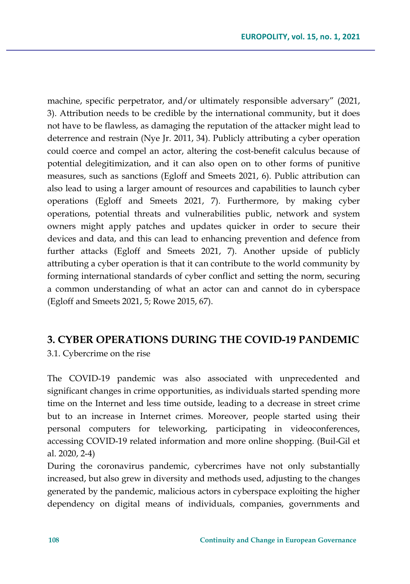machine, specific perpetrator, and/or ultimately responsible adversary" (2021, 3). Attribution needs to be credible by the international community, but it does not have to be flawless, as damaging the reputation of the attacker might lead to deterrence and restrain (Nye Jr. 2011, 34). Publicly attributing a cyber operation could coerce and compel an actor, altering the cost-benefit calculus because of potential delegitimization, and it can also open on to other forms of punitive measures, such as sanctions (Egloff and Smeets 2021, 6). Public attribution can also lead to using a larger amount of resources and capabilities to launch cyber operations (Egloff and Smeets 2021, 7). Furthermore, by making cyber operations, potential threats and vulnerabilities public, network and system owners might apply patches and updates quicker in order to secure their devices and data, and this can lead to enhancing prevention and defence from further attacks (Egloff and Smeets 2021, 7). Another upside of publicly attributing a cyber operation is that it can contribute to the world community by forming international standards of cyber conflict and setting the norm, securing a common understanding of what an actor can and cannot do in cyberspace (Egloff and Smeets 2021, 5; Rowe 2015, 67).

# **3. CYBER OPERATIONS DURING THE COVID-19 PANDEMIC**

3.1. Cybercrime on the rise

The COVID-19 pandemic was also associated with unprecedented and significant changes in crime opportunities, as individuals started spending more time on the Internet and less time outside, leading to a decrease in street crime but to an increase in Internet crimes. Moreover, people started using their personal computers for teleworking, participating in videoconferences, accessing COVID-19 related information and more online shopping. (Buil-Gil et al. 2020, 2-4)

During the coronavirus pandemic, cybercrimes have not only substantially increased, but also grew in diversity and methods used, adjusting to the changes generated by the pandemic, malicious actors in cyberspace exploiting the higher dependency on digital means of individuals, companies, governments and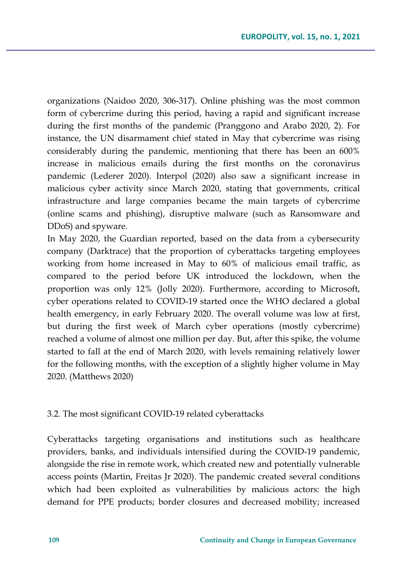organizations (Naidoo 2020, 306-317). Online phishing was the most common form of cybercrime during this period, having a rapid and significant increase during the first months of the pandemic (Pranggono and Arabo 2020, 2). For instance, the UN disarmament chief stated in May that cybercrime was rising considerably during the pandemic, mentioning that there has been an 600% increase in malicious emails during the first months on the coronavirus pandemic (Lederer 2020). Interpol (2020) also saw a significant increase in malicious cyber activity since March 2020, stating that governments, critical infrastructure and large companies became the main targets of cybercrime (online scams and phishing), disruptive malware (such as Ransomware and DDoS) and spyware.

In May 2020, the Guardian reported, based on the data from a cybersecurity company (Darktrace) that the proportion of cyberattacks targeting employees working from home increased in May to 60% of malicious email traffic, as compared to the period before UK introduced the lockdown, when the proportion was only 12% (Jolly 2020). Furthermore, according to Microsoft, cyber operations related to COVID-19 started once the WHO declared a global health emergency, in early February 2020. The overall volume was low at first, but during the first week of March cyber operations (mostly cybercrime) reached a volume of almost one million per day. But, after this spike, the volume started to fall at the end of March 2020, with levels remaining relatively lower for the following months, with the exception of a slightly higher volume in May 2020. (Matthews 2020)

### 3.2. The most significant COVID-19 related cyberattacks

Cyberattacks targeting organisations and institutions such as healthcare providers, banks, and individuals intensified during the COVID-19 pandemic, alongside the rise in remote work, which created new and potentially vulnerable access points (Martin, Freitas Jr 2020). The pandemic created several conditions which had been exploited as vulnerabilities by malicious actors: the high demand for PPE products; border closures and decreased mobility; increased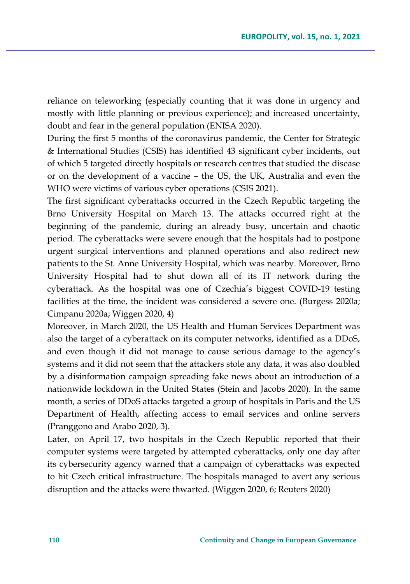reliance on teleworking (especially counting that it was done in urgency and mostly with little planning or previous experience); and increased uncertainty, doubt and fear in the general population (ENISA 2020).

During the first 5 months of the coronavirus pandemic, the Center for Strategic & International Studies (CSIS) has identified 43 significant cyber incidents, out of which 5 targeted directly hospitals or research centres that studied the disease or on the development of a vaccine – the US, the UK, Australia and even the WHO were victims of various cyber operations (CSIS 2021).

The first significant cyberattacks occurred in the Czech Republic targeting the Brno University Hospital on March 13. The attacks occurred right at the beginning of the pandemic, during an already busy, uncertain and chaotic period. The cyberattacks were severe enough that the hospitals had to postpone urgent surgical interventions and planned operations and also redirect new patients to the St. Anne University Hospital, which was nearby. Moreover, Brno University Hospital had to shut down all of its IT network during the cyberattack. As the hospital was one of Czechia's biggest COVID-19 testing facilities at the time, the incident was considered a severe one. (Burgess 2020a; Cimpanu 2020a; Wiggen 2020, 4)

Moreover, in March 2020, the US Health and Human Services Department was also the target of a cyberattack on its computer networks, identified as a DDoS, and even though it did not manage to cause serious damage to the agency's systems and it did not seem that the attackers stole any data, it was also doubled by a disinformation campaign spreading fake news about an introduction of a nationwide lockdown in the United States (Stein and Jacobs 2020). In the same month, a series of DDoS attacks targeted a group of hospitals in Paris and the US Department of Health, affecting access to email services and online servers (Pranggono and Arabo 2020, 3).

Later, on April 17, two hospitals in the Czech Republic reported that their computer systems were targeted by attempted cyberattacks, only one day after its cybersecurity agency warned that a campaign of cyberattacks was expected to hit Czech critical infrastructure. The hospitals managed to avert any serious disruption and the attacks were thwarted. (Wiggen 2020, 6; Reuters 2020)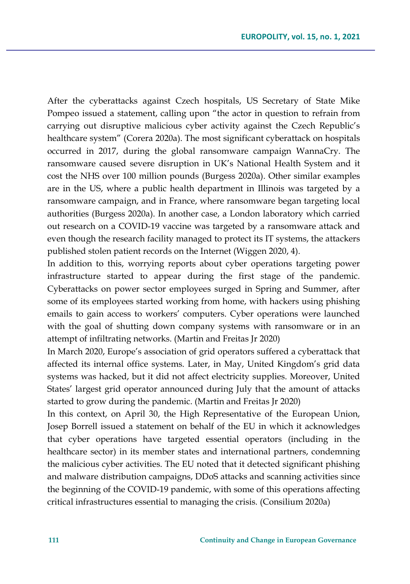After the cyberattacks against Czech hospitals, US Secretary of State Mike Pompeo issued a statement, calling upon "the actor in question to refrain from carrying out disruptive malicious cyber activity against the Czech Republic's healthcare system" (Corera 2020a). The most significant cyberattack on hospitals occurred in 2017, during the global ransomware campaign WannaCry. The ransomware caused severe disruption in UK's National Health System and it cost the NHS over 100 million pounds (Burgess 2020a). Other similar examples are in the US, where a public health department in Illinois was targeted by a ransomware campaign, and in France, where ransomware began targeting local authorities (Burgess 2020a). In another case, a London laboratory which carried out research on a COVID-19 vaccine was targeted by a ransomware attack and even though the research facility managed to protect its IT systems, the attackers published stolen patient records on the Internet (Wiggen 2020, 4).

In addition to this, worrying reports about cyber operations targeting power infrastructure started to appear during the first stage of the pandemic. Cyberattacks on power sector employees surged in Spring and Summer, after some of its employees started working from home, with hackers using phishing emails to gain access to workers' computers. Cyber operations were launched with the goal of shutting down company systems with ransomware or in an attempt of infiltrating networks. (Martin and Freitas Jr 2020)

In March 2020, Europe's association of grid operators suffered a cyberattack that affected its internal office systems. Later, in May, United Kingdom's grid data systems was hacked, but it did not affect electricity supplies. Moreover, United States' largest grid operator announced during July that the amount of attacks started to grow during the pandemic. (Martin and Freitas Jr 2020)

In this context, on April 30, the High Representative of the European Union, Josep Borrell issued a statement on behalf of the EU in which it acknowledges that cyber operations have targeted essential operators (including in the healthcare sector) in its member states and international partners, condemning the malicious cyber activities. The EU noted that it detected significant phishing and malware distribution campaigns, DDoS attacks and scanning activities since the beginning of the COVID-19 pandemic, with some of this operations affecting critical infrastructures essential to managing the crisis. (Consilium 2020a)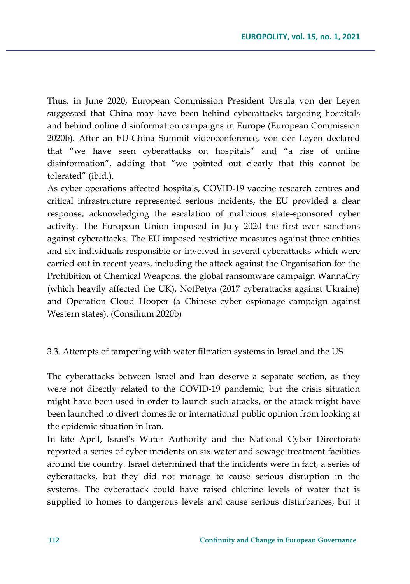Thus, in June 2020, European Commission President Ursula von der Leyen suggested that China may have been behind cyberattacks targeting hospitals and behind online disinformation campaigns in Europe (European Commission 2020b). After an EU-China Summit videoconference, von der Leyen declared that "we have seen cyberattacks on hospitals" and "a rise of online disinformation", adding that "we pointed out clearly that this cannot be tolerated" (ibid.).

As cyber operations affected hospitals, COVID-19 vaccine research centres and critical infrastructure represented serious incidents, the EU provided a clear response, acknowledging the escalation of malicious state-sponsored cyber activity. The European Union imposed in July 2020 the first ever sanctions against cyberattacks. The EU imposed restrictive measures against three entities and six individuals responsible or involved in several cyberattacks which were carried out in recent years, including the attack against the Organisation for the Prohibition of Chemical Weapons, the global ransomware campaign WannaCry (which heavily affected the UK), NotPetya (2017 cyberattacks against Ukraine) and Operation Cloud Hooper (a Chinese cyber espionage campaign against Western states). (Consilium 2020b)

### 3.3. Attempts of tampering with water filtration systems in Israel and the US

The cyberattacks between Israel and Iran deserve a separate section, as they were not directly related to the COVID-19 pandemic, but the crisis situation might have been used in order to launch such attacks, or the attack might have been launched to divert domestic or international public opinion from looking at the epidemic situation in Iran.

In late April, Israel's Water Authority and the National Cyber Directorate reported a series of cyber incidents on six water and sewage treatment facilities around the country. Israel determined that the incidents were in fact, a series of cyberattacks, but they did not manage to cause serious disruption in the systems. The cyberattack could have raised chlorine levels of water that is supplied to homes to dangerous levels and cause serious disturbances, but it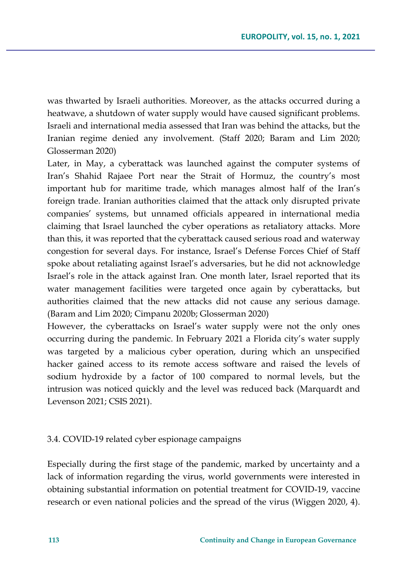was thwarted by Israeli authorities. Moreover, as the attacks occurred during a heatwave, a shutdown of water supply would have caused significant problems. Israeli and international media assessed that Iran was behind the attacks, but the Iranian regime denied any involvement. (Staff 2020; Baram and Lim 2020; Glosserman 2020)

Later, in May, a cyberattack was launched against the computer systems of Iran's Shahid Rajaee Port near the Strait of Hormuz, the country's most important hub for maritime trade, which manages almost half of the Iran's foreign trade. Iranian authorities claimed that the attack only disrupted private companies' systems, but unnamed officials appeared in international media claiming that Israel launched the cyber operations as retaliatory attacks. More than this, it was reported that the cyberattack caused serious road and waterway congestion for several days. For instance, Israel's Defense Forces Chief of Staff spoke about retaliating against Israel's adversaries, but he did not acknowledge Israel's role in the attack against Iran. One month later, Israel reported that its water management facilities were targeted once again by cyberattacks, but authorities claimed that the new attacks did not cause any serious damage. (Baram and Lim 2020; Cimpanu 2020b; Glosserman 2020)

However, the cyberattacks on Israel's water supply were not the only ones occurring during the pandemic. In February 2021 a Florida city's water supply was targeted by a malicious cyber operation, during which an unspecified hacker gained access to its remote access software and raised the levels of sodium hydroxide by a factor of 100 compared to normal levels, but the intrusion was noticed quickly and the level was reduced back (Marquardt and Levenson 2021; CSIS 2021).

#### 3.4. COVID-19 related cyber espionage campaigns

Especially during the first stage of the pandemic, marked by uncertainty and a lack of information regarding the virus, world governments were interested in obtaining substantial information on potential treatment for COVID-19, vaccine research or even national policies and the spread of the virus (Wiggen 2020, 4).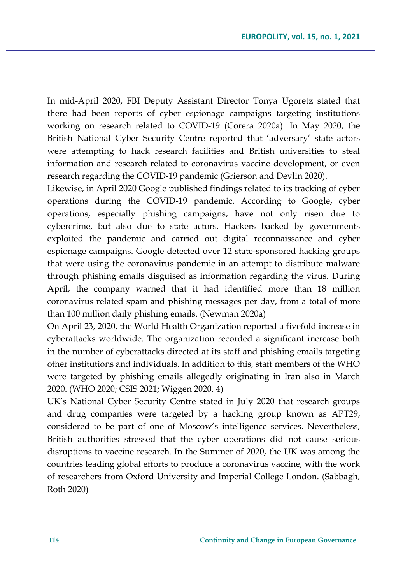In mid-April 2020, FBI Deputy Assistant Director Tonya Ugoretz stated that there had been reports of cyber espionage campaigns targeting institutions working on research related to COVID-19 (Corera 2020a). In May 2020, the British National Cyber Security Centre reported that 'adversary' state actors were attempting to hack research facilities and British universities to steal information and research related to coronavirus vaccine development, or even research regarding the COVID-19 pandemic (Grierson and Devlin 2020).

Likewise, in April 2020 Google published findings related to its tracking of cyber operations during the COVID-19 pandemic. According to Google, cyber operations, especially phishing campaigns, have not only risen due to cybercrime, but also due to state actors. Hackers backed by governments exploited the pandemic and carried out digital reconnaissance and cyber espionage campaigns. Google detected over 12 state-sponsored hacking groups that were using the coronavirus pandemic in an attempt to distribute malware through phishing emails disguised as information regarding the virus. During April, the company warned that it had identified more than 18 million coronavirus related spam and phishing messages per day, from a total of more than 100 million daily phishing emails. (Newman 2020a)

On April 23, 2020, the World Health Organization reported a fivefold increase in cyberattacks worldwide. The organization recorded a significant increase both in the number of cyberattacks directed at its staff and phishing emails targeting other institutions and individuals. In addition to this, staff members of the WHO were targeted by phishing emails allegedly originating in Iran also in March 2020. (WHO 2020; CSIS 2021; Wiggen 2020, 4)

UK's National Cyber Security Centre stated in July 2020 that research groups and drug companies were targeted by a hacking group known as APT29, considered to be part of one of Moscow's intelligence services. Nevertheless, British authorities stressed that the cyber operations did not cause serious disruptions to vaccine research. In the Summer of 2020, the UK was among the countries leading global efforts to produce a coronavirus vaccine, with the work of researchers from Oxford University and Imperial College London. (Sabbagh, Roth 2020)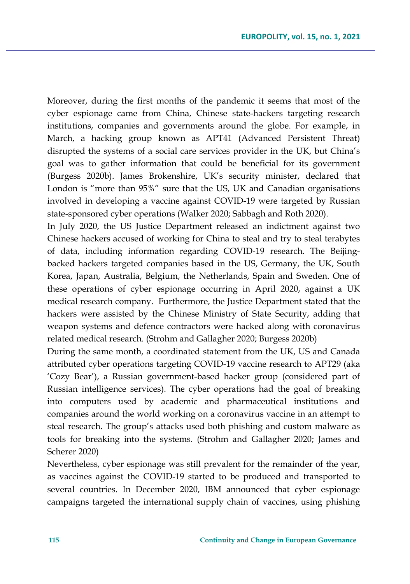Moreover, during the first months of the pandemic it seems that most of the cyber espionage came from China, Chinese state-hackers targeting research institutions, companies and governments around the globe. For example, in March, a hacking group known as APT41 (Advanced Persistent Threat) disrupted the systems of a social care services provider in the UK, but China's goal was to gather information that could be beneficial for its government (Burgess 2020b). James Brokenshire, UK's security minister, declared that London is "more than 95%" sure that the US, UK and Canadian organisations involved in developing a vaccine against COVID-19 were targeted by Russian state-sponsored cyber operations (Walker 2020; Sabbagh and Roth 2020).

In July 2020, the US Justice Department released an indictment against two Chinese hackers accused of working for China to steal and try to steal terabytes of data, including information regarding COVID-19 research. The Beijingbacked hackers targeted companies based in the US, Germany, the UK, South Korea, Japan, Australia, Belgium, the Netherlands, Spain and Sweden. One of these operations of cyber espionage occurring in April 2020, against a UK medical research company. Furthermore, the Justice Department stated that the hackers were assisted by the Chinese Ministry of State Security, adding that weapon systems and defence contractors were hacked along with coronavirus related medical research. (Strohm and Gallagher 2020; Burgess 2020b)

During the same month, a coordinated statement from the UK, US and Canada attributed cyber operations targeting COVID-19 vaccine research to APT29 (aka 'Cozy Bear'), a Russian government-based hacker group (considered part of Russian intelligence services). The cyber operations had the goal of breaking into computers used by academic and pharmaceutical institutions and companies around the world working on a coronavirus vaccine in an attempt to steal research. The group's attacks used both phishing and custom malware as tools for breaking into the systems. (Strohm and Gallagher 2020; James and Scherer 2020)

Nevertheless, cyber espionage was still prevalent for the remainder of the year, as vaccines against the COVID-19 started to be produced and transported to several countries. In December 2020, IBM announced that cyber espionage campaigns targeted the international supply chain of vaccines, using phishing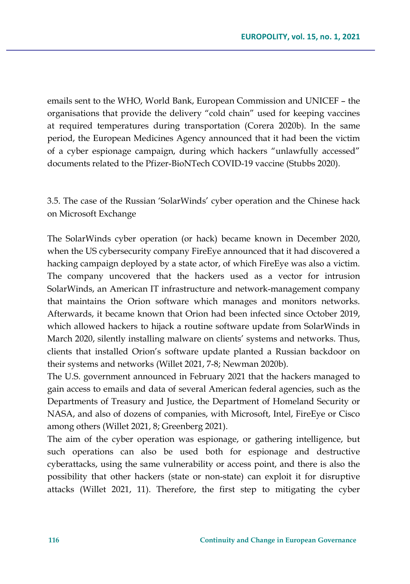emails sent to the WHO, World Bank, European Commission and UNICEF – the organisations that provide the delivery "cold chain" used for keeping vaccines at required temperatures during transportation (Corera 2020b). In the same period, the European Medicines Agency announced that it had been the victim of a cyber espionage campaign, during which hackers "unlawfully accessed" documents related to the Pfizer-BioNTech COVID-19 vaccine (Stubbs 2020).

3.5. The case of the Russian 'SolarWinds' cyber operation and the Chinese hack on Microsoft Exchange

The SolarWinds cyber operation (or hack) became known in December 2020, when the US cybersecurity company FireEye announced that it had discovered a hacking campaign deployed by a state actor, of which FireEye was also a victim. The company uncovered that the hackers used as a vector for intrusion SolarWinds, an American IT infrastructure and network-management company that maintains the Orion software which manages and monitors networks. Afterwards, it became known that Orion had been infected since October 2019, which allowed hackers to hijack a routine software update from SolarWinds in March 2020, silently installing malware on clients' systems and networks. Thus, clients that installed Orion's software update planted a Russian backdoor on their systems and networks (Willet 2021, 7-8; Newman 2020b).

The U.S. government announced in February 2021 that the hackers managed to gain access to emails and data of several American federal agencies, such as the Departments of Treasury and Justice, the Department of Homeland Security or NASA, and also of dozens of companies, with Microsoft, Intel, FireEye or Cisco among others (Willet 2021, 8; Greenberg 2021).

The aim of the cyber operation was espionage, or gathering intelligence, but such operations can also be used both for espionage and destructive cyberattacks, using the same vulnerability or access point, and there is also the possibility that other hackers (state or non-state) can exploit it for disruptive attacks (Willet 2021, 11). Therefore, the first step to mitigating the cyber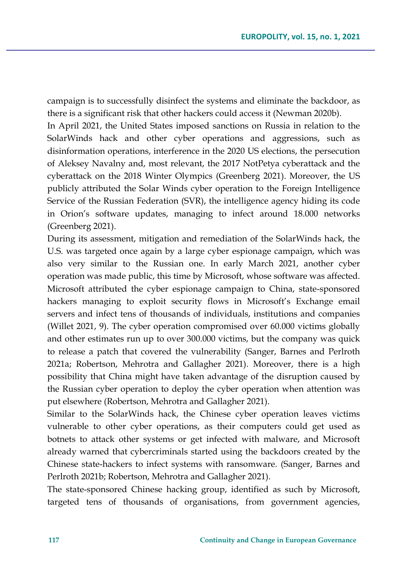campaign is to successfully disinfect the systems and eliminate the backdoor, as there is a significant risk that other hackers could access it (Newman 2020b).

In April 2021, the United States imposed sanctions on Russia in relation to the SolarWinds hack and other cyber operations and aggressions, such as disinformation operations, interference in the 2020 US elections, the persecution of Aleksey Navalny and, most relevant, the 2017 NotPetya cyberattack and the cyberattack on the 2018 Winter Olympics (Greenberg 2021). Moreover, the US publicly attributed the Solar Winds cyber operation to the Foreign Intelligence Service of the Russian Federation (SVR), the intelligence agency hiding its code in Orion's software updates, managing to infect around 18.000 networks (Greenberg 2021).

During its assessment, mitigation and remediation of the SolarWinds hack, the U.S. was targeted once again by a large cyber espionage campaign, which was also very similar to the Russian one. In early March 2021, another cyber operation was made public, this time by Microsoft, whose software was affected. Microsoft attributed the cyber espionage campaign to China, state-sponsored hackers managing to exploit security flows in Microsoft's Exchange email servers and infect tens of thousands of individuals, institutions and companies (Willet 2021, 9). The cyber operation compromised over 60.000 victims globally and other estimates run up to over 300.000 victims, but the company was quick to release a patch that covered the vulnerability (Sanger, Barnes and Perlroth 2021a; Robertson, Mehrotra and Gallagher 2021). Moreover, there is a high possibility that China might have taken advantage of the disruption caused by the Russian cyber operation to deploy the cyber operation when attention was put elsewhere (Robertson, Mehrotra and Gallagher 2021).

Similar to the SolarWinds hack, the Chinese cyber operation leaves victims vulnerable to other cyber operations, as their computers could get used as botnets to attack other systems or get infected with malware, and Microsoft already warned that cybercriminals started using the backdoors created by the Chinese state-hackers to infect systems with ransomware. (Sanger, Barnes and Perlroth 2021b; Robertson, Mehrotra and Gallagher 2021).

The state-sponsored Chinese hacking group, identified as such by Microsoft, targeted tens of thousands of organisations, from government agencies,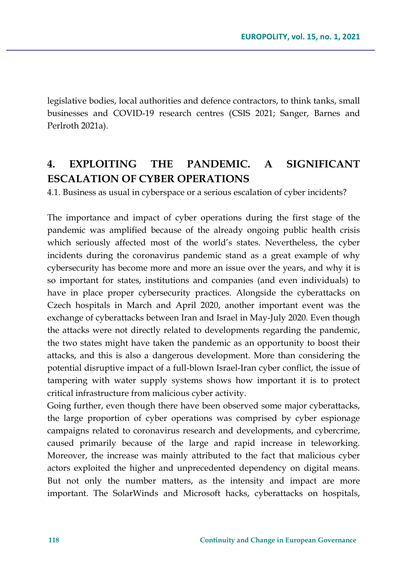legislative bodies, local authorities and defence contractors, to think tanks, small businesses and COVID-19 research centres (CSIS 2021; Sanger, Barnes and Perlroth 2021a).

# **4. EXPLOITING THE PANDEMIC. A SIGNIFICANT ESCALATION OF CYBER OPERATIONS**

4.1. Business as usual in cyberspace or a serious escalation of cyber incidents?

The importance and impact of cyber operations during the first stage of the pandemic was amplified because of the already ongoing public health crisis which seriously affected most of the world's states. Nevertheless, the cyber incidents during the coronavirus pandemic stand as a great example of why cybersecurity has become more and more an issue over the years, and why it is so important for states, institutions and companies (and even individuals) to have in place proper cybersecurity practices. Alongside the cyberattacks on Czech hospitals in March and April 2020, another important event was the exchange of cyberattacks between Iran and Israel in May-July 2020. Even though the attacks were not directly related to developments regarding the pandemic, the two states might have taken the pandemic as an opportunity to boost their attacks, and this is also a dangerous development. More than considering the potential disruptive impact of a full-blown Israel-Iran cyber conflict, the issue of tampering with water supply systems shows how important it is to protect critical infrastructure from malicious cyber activity.

Going further, even though there have been observed some major cyberattacks, the large proportion of cyber operations was comprised by cyber espionage campaigns related to coronavirus research and developments, and cybercrime, caused primarily because of the large and rapid increase in teleworking. Moreover, the increase was mainly attributed to the fact that malicious cyber actors exploited the higher and unprecedented dependency on digital means. But not only the number matters, as the intensity and impact are more important. The SolarWinds and Microsoft hacks, cyberattacks on hospitals,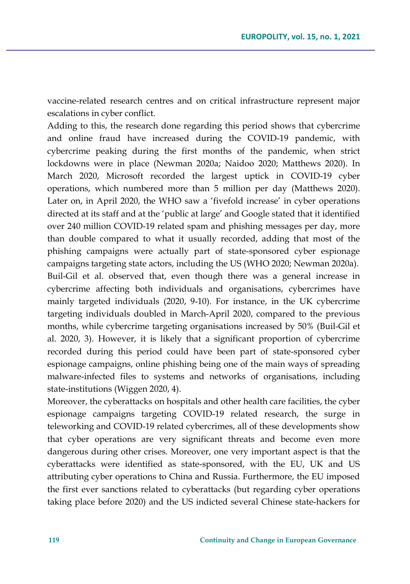vaccine-related research centres and on critical infrastructure represent major escalations in cyber conflict.

Adding to this, the research done regarding this period shows that cybercrime and online fraud have increased during the COVID-19 pandemic, with cybercrime peaking during the first months of the pandemic, when strict lockdowns were in place (Newman 2020a; Naidoo 2020; Matthews 2020). In March 2020, Microsoft recorded the largest uptick in COVID-19 cyber operations, which numbered more than 5 million per day (Matthews 2020). Later on, in April 2020, the WHO saw a 'fivefold increase' in cyber operations directed at its staff and at the 'public at large' and Google stated that it identified over 240 million COVID-19 related spam and phishing messages per day, more than double compared to what it usually recorded, adding that most of the phishing campaigns were actually part of state-sponsored cyber espionage campaigns targeting state actors, including the US (WHO 2020; Newman 2020a). Buil-Gil et al. observed that, even though there was a general increase in cybercrime affecting both individuals and organisations, cybercrimes have mainly targeted individuals (2020, 9-10). For instance, in the UK cybercrime targeting individuals doubled in March-April 2020, compared to the previous months, while cybercrime targeting organisations increased by 50% (Buil-Gil et al. 2020, 3). However, it is likely that a significant proportion of cybercrime recorded during this period could have been part of state-sponsored cyber espionage campaigns, online phishing being one of the main ways of spreading malware-infected files to systems and networks of organisations, including state-institutions (Wiggen 2020, 4).

Moreover, the cyberattacks on hospitals and other health care facilities, the cyber espionage campaigns targeting COVID-19 related research, the surge in teleworking and COVID-19 related cybercrimes, all of these developments show that cyber operations are very significant threats and become even more dangerous during other crises. Moreover, one very important aspect is that the cyberattacks were identified as state-sponsored, with the EU, UK and US attributing cyber operations to China and Russia. Furthermore, the EU imposed the first ever sanctions related to cyberattacks (but regarding cyber operations taking place before 2020) and the US indicted several Chinese state-hackers for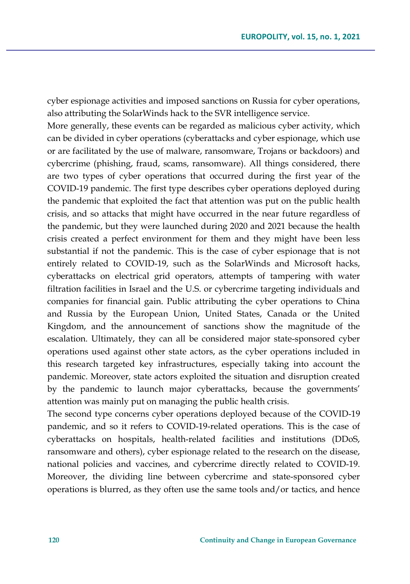cyber espionage activities and imposed sanctions on Russia for cyber operations, also attributing the SolarWinds hack to the SVR intelligence service.

More generally, these events can be regarded as malicious cyber activity, which can be divided in cyber operations (cyberattacks and cyber espionage, which use or are facilitated by the use of malware, ransomware, Trojans or backdoors) and cybercrime (phishing, fraud, scams, ransomware). All things considered, there are two types of cyber operations that occurred during the first year of the COVID-19 pandemic. The first type describes cyber operations deployed during the pandemic that exploited the fact that attention was put on the public health crisis, and so attacks that might have occurred in the near future regardless of the pandemic, but they were launched during 2020 and 2021 because the health crisis created a perfect environment for them and they might have been less substantial if not the pandemic. This is the case of cyber espionage that is not entirely related to COVID-19, such as the SolarWinds and Microsoft hacks, cyberattacks on electrical grid operators, attempts of tampering with water filtration facilities in Israel and the U.S. or cybercrime targeting individuals and companies for financial gain. Public attributing the cyber operations to China and Russia by the European Union, United States, Canada or the United Kingdom, and the announcement of sanctions show the magnitude of the escalation. Ultimately, they can all be considered major state-sponsored cyber operations used against other state actors, as the cyber operations included in this research targeted key infrastructures, especially taking into account the pandemic. Moreover, state actors exploited the situation and disruption created by the pandemic to launch major cyberattacks, because the governments' attention was mainly put on managing the public health crisis.

The second type concerns cyber operations deployed because of the COVID-19 pandemic, and so it refers to COVID-19-related operations. This is the case of cyberattacks on hospitals, health-related facilities and institutions (DDoS, ransomware and others), cyber espionage related to the research on the disease, national policies and vaccines, and cybercrime directly related to COVID-19. Moreover, the dividing line between cybercrime and state-sponsored cyber operations is blurred, as they often use the same tools and/or tactics, and hence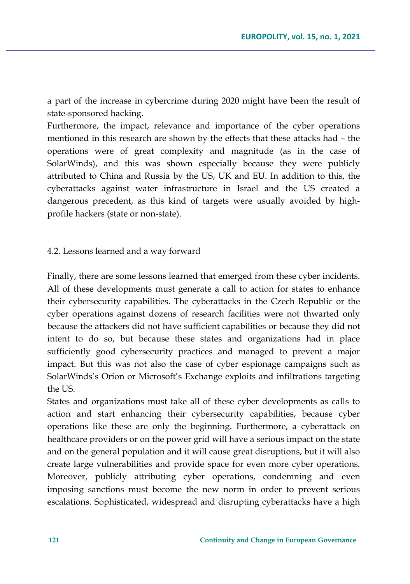a part of the increase in cybercrime during 2020 might have been the result of state-sponsored hacking.

Furthermore, the impact, relevance and importance of the cyber operations mentioned in this research are shown by the effects that these attacks had – the operations were of great complexity and magnitude (as in the case of SolarWinds), and this was shown especially because they were publicly attributed to China and Russia by the US, UK and EU. In addition to this, the cyberattacks against water infrastructure in Israel and the US created a dangerous precedent, as this kind of targets were usually avoided by highprofile hackers (state or non-state).

#### 4.2. Lessons learned and a way forward

Finally, there are some lessons learned that emerged from these cyber incidents. All of these developments must generate a call to action for states to enhance their cybersecurity capabilities. The cyberattacks in the Czech Republic or the cyber operations against dozens of research facilities were not thwarted only because the attackers did not have sufficient capabilities or because they did not intent to do so, but because these states and organizations had in place sufficiently good cybersecurity practices and managed to prevent a major impact. But this was not also the case of cyber espionage campaigns such as SolarWinds's Orion or Microsoft's Exchange exploits and infiltrations targeting the US.

States and organizations must take all of these cyber developments as calls to action and start enhancing their cybersecurity capabilities, because cyber operations like these are only the beginning. Furthermore, a cyberattack on healthcare providers or on the power grid will have a serious impact on the state and on the general population and it will cause great disruptions, but it will also create large vulnerabilities and provide space for even more cyber operations. Moreover, publicly attributing cyber operations, condemning and even imposing sanctions must become the new norm in order to prevent serious escalations. Sophisticated, widespread and disrupting cyberattacks have a high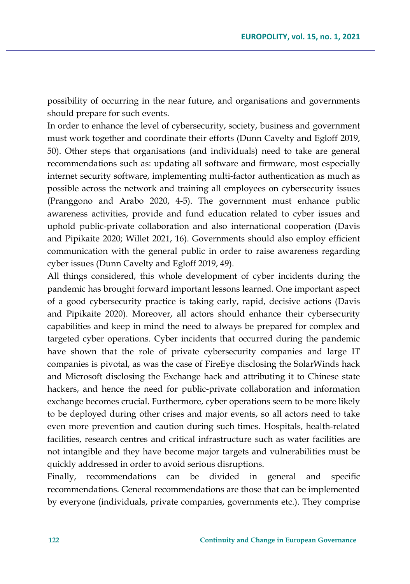possibility of occurring in the near future, and organisations and governments should prepare for such events.

In order to enhance the level of cybersecurity, society, business and government must work together and coordinate their efforts (Dunn Cavelty and Egloff 2019, 50). Other steps that organisations (and individuals) need to take are general recommendations such as: updating all software and firmware, most especially internet security software, implementing multi-factor authentication as much as possible across the network and training all employees on cybersecurity issues (Pranggono and Arabo 2020, 4-5). The government must enhance public awareness activities, provide and fund education related to cyber issues and uphold public-private collaboration and also international cooperation (Davis and Pipikaite 2020; Willet 2021, 16). Governments should also employ efficient communication with the general public in order to raise awareness regarding cyber issues (Dunn Cavelty and Egloff 2019, 49).

All things considered, this whole development of cyber incidents during the pandemic has brought forward important lessons learned. One important aspect of a good cybersecurity practice is taking early, rapid, decisive actions (Davis and Pipikaite 2020). Moreover, all actors should enhance their cybersecurity capabilities and keep in mind the need to always be prepared for complex and targeted cyber operations. Cyber incidents that occurred during the pandemic have shown that the role of private cybersecurity companies and large IT companies is pivotal, as was the case of FireEye disclosing the SolarWinds hack and Microsoft disclosing the Exchange hack and attributing it to Chinese state hackers, and hence the need for public-private collaboration and information exchange becomes crucial. Furthermore, cyber operations seem to be more likely to be deployed during other crises and major events, so all actors need to take even more prevention and caution during such times. Hospitals, health-related facilities, research centres and critical infrastructure such as water facilities are not intangible and they have become major targets and vulnerabilities must be quickly addressed in order to avoid serious disruptions.

Finally, recommendations can be divided in general and specific recommendations. General recommendations are those that can be implemented by everyone (individuals, private companies, governments etc.). They comprise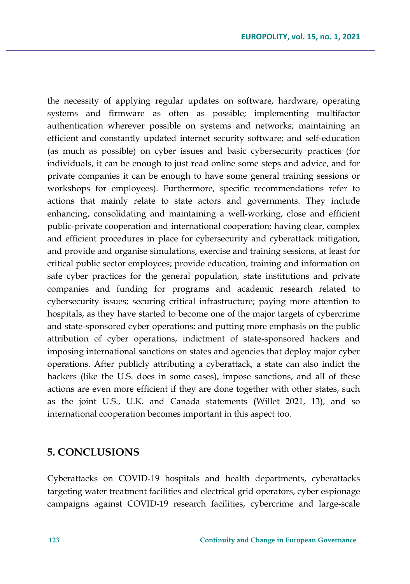the necessity of applying regular updates on software, hardware, operating systems and firmware as often as possible; implementing multifactor authentication wherever possible on systems and networks; maintaining an efficient and constantly updated internet security software; and self-education (as much as possible) on cyber issues and basic cybersecurity practices (for individuals, it can be enough to just read online some steps and advice, and for private companies it can be enough to have some general training sessions or workshops for employees). Furthermore, specific recommendations refer to actions that mainly relate to state actors and governments. They include enhancing, consolidating and maintaining a well-working, close and efficient public-private cooperation and international cooperation; having clear, complex and efficient procedures in place for cybersecurity and cyberattack mitigation, and provide and organise simulations, exercise and training sessions, at least for critical public sector employees; provide education, training and information on safe cyber practices for the general population, state institutions and private companies and funding for programs and academic research related to cybersecurity issues; securing critical infrastructure; paying more attention to hospitals, as they have started to become one of the major targets of cybercrime and state-sponsored cyber operations; and putting more emphasis on the public attribution of cyber operations, indictment of state-sponsored hackers and imposing international sanctions on states and agencies that deploy major cyber operations. After publicly attributing a cyberattack, a state can also indict the hackers (like the U.S. does in some cases), impose sanctions, and all of these actions are even more efficient if they are done together with other states, such as the joint U.S., U.K. and Canada statements (Willet 2021, 13), and so international cooperation becomes important in this aspect too.

## **5. CONCLUSIONS**

Cyberattacks on COVID-19 hospitals and health departments, cyberattacks targeting water treatment facilities and electrical grid operators, cyber espionage campaigns against COVID-19 research facilities, cybercrime and large-scale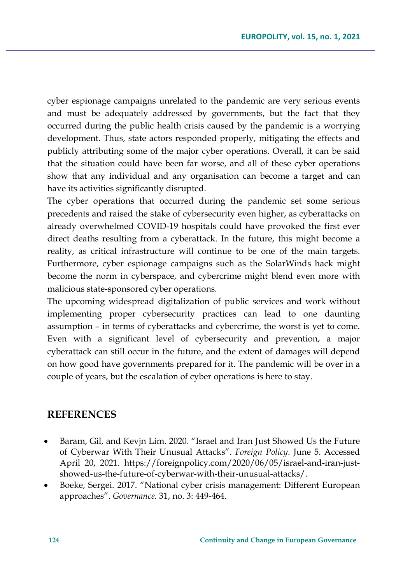cyber espionage campaigns unrelated to the pandemic are very serious events and must be adequately addressed by governments, but the fact that they occurred during the public health crisis caused by the pandemic is a worrying development. Thus, state actors responded properly, mitigating the effects and publicly attributing some of the major cyber operations. Overall, it can be said that the situation could have been far worse, and all of these cyber operations show that any individual and any organisation can become a target and can have its activities significantly disrupted.

The cyber operations that occurred during the pandemic set some serious precedents and raised the stake of cybersecurity even higher, as cyberattacks on already overwhelmed COVID-19 hospitals could have provoked the first ever direct deaths resulting from a cyberattack. In the future, this might become a reality, as critical infrastructure will continue to be one of the main targets. Furthermore, cyber espionage campaigns such as the SolarWinds hack might become the norm in cyberspace, and cybercrime might blend even more with malicious state-sponsored cyber operations.

The upcoming widespread digitalization of public services and work without implementing proper cybersecurity practices can lead to one daunting assumption – in terms of cyberattacks and cybercrime, the worst is yet to come. Even with a significant level of cybersecurity and prevention, a major cyberattack can still occur in the future, and the extent of damages will depend on how good have governments prepared for it. The pandemic will be over in a couple of years, but the escalation of cyber operations is here to stay.

## **REFERENCES**

- Baram, Gil, and Kevjn Lim. 2020. "Israel and Iran Just Showed Us the Future of Cyberwar With Their Unusual Attacks". *Foreign Policy*. June 5. Accessed April 20, 2021. https://foreignpolicy.com/2020/06/05/israel-and-iran-justshowed-us-the-future-of-cyberwar-with-their-unusual-attacks/.
- Boeke, Sergei. 2017. "National cyber crisis management: Different European approaches". *Governance.* 31, no. 3: 449-464.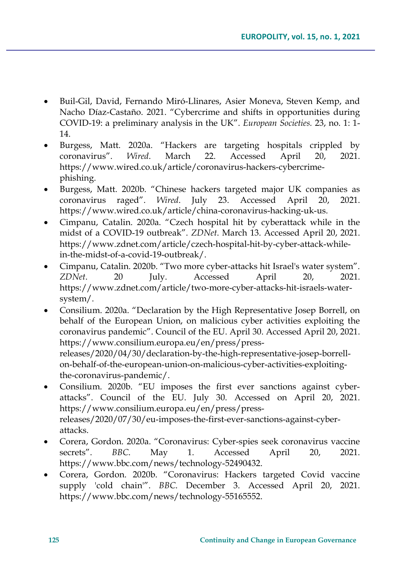- Buil-Gil, David, Fernando Miró-Llinares, Asier Moneva, Steven Kemp, and Nacho Díaz-Castaño. 2021. "Cybercrime and shifts in opportunities during COVID-19: a preliminary analysis in the UK". *European Societies.* 23, no. 1: 1- 14.
- Burgess, Matt. 2020a. "Hackers are targeting hospitals crippled by coronavirus". *Wired*. March 22. Accessed April 20, 2021. https://www.wired.co.uk/article/coronavirus-hackers-cybercrimephishing.
- Burgess, Matt. 2020b. "Chinese hackers targeted major UK companies as coronavirus raged". *Wired*. July 23. Accessed April 20, 2021. https://www.wired.co.uk/article/china-coronavirus-hacking-uk-us.
- Cimpanu, Catalin. 2020a. "Czech hospital hit by cyberattack while in the midst of a COVID-19 outbreak". *ZDNet*. March 13. Accessed April 20, 2021. https://www.zdnet.com/article/czech-hospital-hit-by-cyber-attack-whilein-the-midst-of-a-covid-19-outbreak/.
- Cimpanu, Catalin. 2020b. "Two more cyber-attacks hit Israel's water system". *ZDNet*. 20 July. Accessed April 20, 2021. https://www.zdnet.com/article/two-more-cyber-attacks-hit-israels-watersystem/.
- Consilium. 2020a. "Declaration by the High Representative Josep Borrell, on behalf of the European Union, on malicious cyber activities exploiting the coronavirus pandemic". Council of the EU. April 30. Accessed April 20, 2021. https://www.consilium.europa.eu/en/press/pressreleases/2020/04/30/declaration-by-the-high-representative-josep-borrellon-behalf-of-the-european-union-on-malicious-cyber-activities-exploitingthe-coronavirus-pandemic/.
- Consilium. 2020b. "EU imposes the first ever sanctions against cyberattacks". Council of the EU. July 30. Accessed on April 20, 2021. https://www.consilium.europa.eu/en/press/pressreleases/2020/07/30/eu-imposes-the-first-ever-sanctions-against-cyberattacks.
- Corera, Gordon. 2020a. "Coronavirus: Cyber-spies seek coronavirus vaccine secrets". *BBC*. May 1. Accessed April 20, 2021. https://www.bbc.com/news/technology-52490432.
- Corera, Gordon. 2020b. "Coronavirus: Hackers targeted Covid vaccine supply 'cold chain'". *BBC*. December 3. Accessed April 20, 2021. https://www.bbc.com/news/technology-55165552.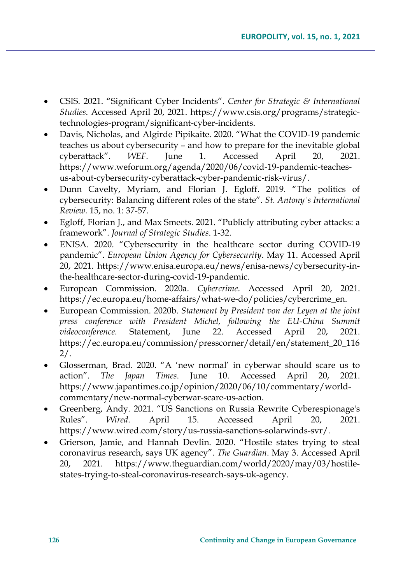- CSIS. 2021. "Significant Cyber Incidents". *Center for Strategic & International Studies*. Accessed April 20, 2021. https://www.csis.org/programs/strategictechnologies-program/significant-cyber-incidents.
- Davis, Nicholas, and Algirde Pipikaite. 2020. "What the COVID-19 pandemic teaches us about cybersecurity – and how to prepare for the inevitable global cyberattack". *WEF*. June 1. Accessed April 20, 2021. https://www.weforum.org/agenda/2020/06/covid-19-pandemic-teachesus-about-cybersecurity-cyberattack-cyber-pandemic-risk-virus/.
- Dunn Cavelty, Myriam, and Florian J. Egloff. 2019. "The politics of cybersecurity: Balancing different roles of the state". *St. Antony's International Review.* 15, no. 1: 37-57.
- Egloff, Florian J., and Max Smeets. 2021. "Publicly attributing cyber attacks: a framework". *Journal of Strategic Studies*. 1-32.
- ENISA. 2020. "Cybersecurity in the healthcare sector during COVID-19 pandemic". *European Union Agency for Cybersecurity*. May 11. Accessed April 20, 2021. https://www.enisa.europa.eu/news/enisa-news/cybersecurity-inthe-healthcare-sector-during-covid-19-pandemic.
- European Commission. 2020a. *Cybercrime*. Accessed April 20, 2021. https://ec.europa.eu/home-affairs/what-we-do/policies/cybercrime\_en.
- European Commission. 2020b. *Statement by President von der Leyen at the joint press conference with President Michel, following the EU-China Summit videoconference*. Statement, June 22. Accessed April 20, 2021. https://ec.europa.eu/commission/presscorner/detail/en/statement\_20\_116 2/.
- Glosserman, Brad. 2020. "A 'new normal' in cyberwar should scare us to action". *The Japan Times*. June 10. Accessed April 20, 2021. https://www.japantimes.co.jp/opinion/2020/06/10/commentary/worldcommentary/new-normal-cyberwar-scare-us-action.
- Greenberg, Andy. 2021. "US Sanctions on Russia Rewrite Cyberespionage's Rules". *Wired*. April 15. Accessed April 20, 2021. https://www.wired.com/story/us-russia-sanctions-solarwinds-svr/.
- Grierson, Jamie, and Hannah Devlin. 2020. "Hostile states trying to steal coronavirus research, says UK agency". *The Guardian*. May 3. Accessed April 20, 2021. https://www.theguardian.com/world/2020/may/03/hostilestates-trying-to-steal-coronavirus-research-says-uk-agency.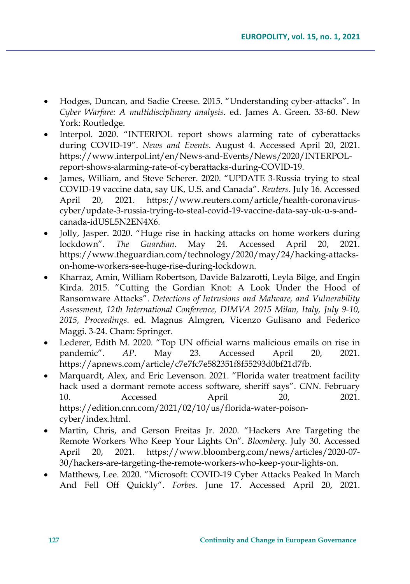- Hodges, Duncan, and Sadie Creese. 2015. "Understanding cyber-attacks". In *Cyber Warfare: A multidisciplinary analysis*. ed. James A. Green. 33-60. New York: Routledge.
- Interpol. 2020. "INTERPOL report shows alarming rate of cyberattacks during COVID-19". *News and Events*. August 4. Accessed April 20, 2021. https://www.interpol.int/en/News-and-Events/News/2020/INTERPOLreport-shows-alarming-rate-of-cyberattacks-during-COVID-19.
- James, William, and Steve Scherer. 2020. "UPDATE 3-Russia trying to steal COVID-19 vaccine data, say UK, U.S. and Canada". *Reuters*. July 16. Accessed April 20, 2021. https://www.reuters.com/article/health-coronaviruscyber/update-3-russia-trying-to-steal-covid-19-vaccine-data-say-uk-u-s-andcanada-idUSL5N2EN4X6.
- Jolly, Jasper. 2020. "Huge rise in hacking attacks on home workers during lockdown". *The Guardian*. May 24. Accessed April 20, 2021. https://www.theguardian.com/technology/2020/may/24/hacking-attackson-home-workers-see-huge-rise-during-lockdown.
- Kharraz, Amin, William Robertson, Davide Balzarotti, Leyla Bilge, and Engin Kirda. 2015. "Cutting the Gordian Knot: A Look Under the Hood of Ransomware Attacks". *Detections of Intrusions and Malware, and Vulnerability Assessment, 12th International Conference, DIMVA 2015 Milan, Italy, July 9-10, 2015, Proceedings*. ed. Magnus Almgren, Vicenzo Gulisano and Federico Maggi. 3-24. Cham: Springer.
- Lederer, Edith M. 2020. "Top UN official warns malicious emails on rise in pandemic". *AP*. May 23. Accessed April 20, 2021. https://apnews.com/article/c7e7fc7e582351f8f55293d0bf21d7fb.
- Marquardt, Alex, and Eric Levenson. 2021. "Florida water treatment facility hack used a dormant remote access software, sheriff says". *CNN*. February 10. Accessed April 20, 2021. https://edition.cnn.com/2021/02/10/us/florida-water-poisoncyber/index.html.
- Martin, Chris, and Gerson Freitas Jr. 2020. "Hackers Are Targeting the Remote Workers Who Keep Your Lights On". *Bloomberg*. July 30. Accessed April 20, 2021. https://www.bloomberg.com/news/articles/2020-07- 30/hackers-are-targeting-the-remote-workers-who-keep-your-lights-on.
- Matthews, Lee. 2020. "Microsoft: COVID-19 Cyber Attacks Peaked In March And Fell Off Quickly". *Forbes*. June 17. Accessed April 20, 2021.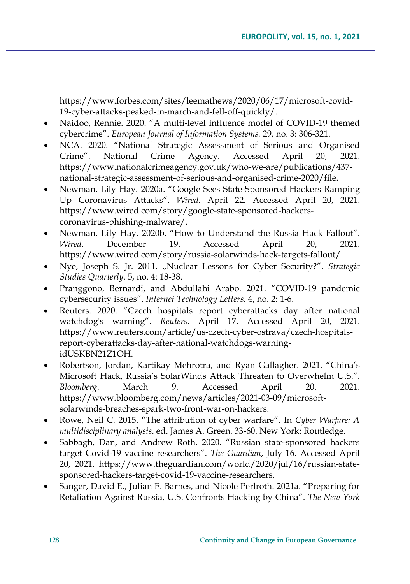https://www.forbes.com/sites/leemathews/2020/06/17/microsoft-covid-19-cyber-attacks-peaked-in-march-and-fell-off-quickly/.

- Naidoo, Rennie. 2020. "A multi-level influence model of COVID-19 themed cybercrime". *European Journal of Information Systems.* 29, no. 3: 306-321.
- NCA. 2020. "National Strategic Assessment of Serious and Organised Crime". National Crime Agency. Accessed April 20, 2021. https://www.nationalcrimeagency.gov.uk/who-we-are/publications/437 national-strategic-assessment-of-serious-and-organised-crime-2020/file.
- Newman, Lily Hay. 2020a. "Google Sees State-Sponsored Hackers Ramping Up Coronavirus Attacks". *Wired*. April 22. Accessed April 20, 2021. https://www.wired.com/story/google-state-sponsored-hackerscoronavirus-phishing-malware/.
- Newman, Lily Hay. 2020b. "How to Understand the Russia Hack Fallout". *Wired*. December 19. Accessed April 20, 2021. https://www.wired.com/story/russia-solarwinds-hack-targets-fallout/.
- Nye, Joseph S. Jr. 2011. "Nuclear Lessons for Cyber Security?". *Strategic Studies Quarterly.* 5, no. 4: 18-38.
- Pranggono, Bernardi, and Abdullahi Arabo. 2021. "COVID‐19 pandemic cybersecurity issues". *Internet Technology Letters.* 4, no. 2: 1-6.
- Reuters. 2020. "Czech hospitals report cyberattacks day after national watchdog's warning". *Reuters*. April 17. Accessed April 20, 2021. https://www.reuters.com/article/us-czech-cyber-ostrava/czech-hospitalsreport-cyberattacks-day-after-national-watchdogs-warningidUSKBN21Z1OH.
- Robertson, Jordan, Kartikay Mehrotra, and Ryan Gallagher. 2021. "China's Microsoft Hack, Russia's SolarWinds Attack Threaten to Overwhelm U.S.". *Bloomberg*. March 9. Accessed April 20, 2021. https://www.bloomberg.com/news/articles/2021-03-09/microsoftsolarwinds-breaches-spark-two-front-war-on-hackers.
- Rowe, Neil C. 2015. "The attribution of cyber warfare". In *Cyber Warfare: A multidisciplinary analysis*. ed. James A. Green. 33-60. New York: Routledge.
- Sabbagh, Dan, and Andrew Roth. 2020. "Russian state-sponsored hackers target Covid-19 vaccine researchers". *The Guardian*, July 16. Accessed April 20, 2021. https://www.theguardian.com/world/2020/jul/16/russian-statesponsored-hackers-target-covid-19-vaccine-researchers.
- Sanger, David E., Julian E. Barnes, and Nicole Perlroth. 2021a. "Preparing for Retaliation Against Russia, U.S. Confronts Hacking by China". *The New York*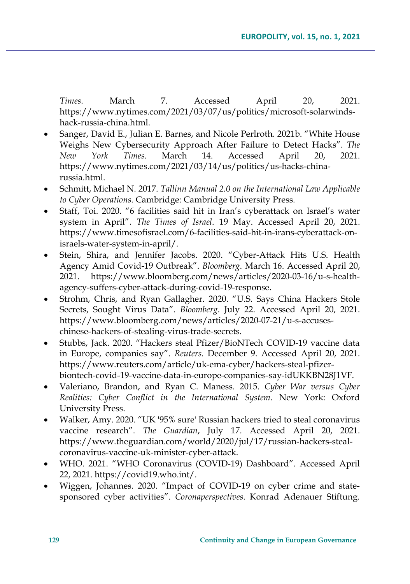*Times*. March 7. Accessed April 20, 2021. https://www.nytimes.com/2021/03/07/us/politics/microsoft-solarwindshack-russia-china.html.

- Sanger, David E., Julian E. Barnes, and Nicole Perlroth. 2021b. "White House Weighs New Cybersecurity Approach After Failure to Detect Hacks". *The New York Times*. March 14. Accessed April 20, 2021. https://www.nytimes.com/2021/03/14/us/politics/us-hacks-chinarussia.html.
- Schmitt, Michael N. 2017. *Tallinn Manual 2.0 on the International Law Applicable to Cyber Operations*. Cambridge: Cambridge University Press.
- Staff, Toi. 2020. "6 facilities said hit in Iran's cyberattack on Israel's water system in April". *The Times of Israel*. 19 May. Accessed April 20, 2021. https://www.timesofisrael.com/6-facilities-said-hit-in-irans-cyberattack-onisraels-water-system-in-april/.
- Stein, Shira, and Jennifer Jacobs. 2020. "Cyber-Attack Hits U.S. Health Agency Amid Covid-19 Outbreak". *Bloomberg*. March 16. Accessed April 20, 2021. https://www.bloomberg.com/news/articles/2020-03-16/u-s-healthagency-suffers-cyber-attack-during-covid-19-response.
- Strohm, Chris, and Ryan Gallagher. 2020. "U.S. Says China Hackers Stole Secrets, Sought Virus Data". *Bloomberg*. July 22. Accessed April 20, 2021. https://www.bloomberg.com/news/articles/2020-07-21/u-s-accuseschinese-hackers-of-stealing-virus-trade-secrets.
- Stubbs, Jack. 2020. "Hackers steal Pfizer/BioNTech COVID-19 vaccine data in Europe, companies say". *Reuters*. December 9. Accessed April 20, 2021. https://www.reuters.com/article/uk-ema-cyber/hackers-steal-pfizerbiontech-covid-19-vaccine-data-in-europe-companies-say-idUKKBN28J1VF.
- Valeriano, Brandon, and Ryan C. Maness. 2015. *Cyber War versus Cyber Realities: Cyber Conflict in the International System*. New York: Oxford University Press.
- Walker, Amy. 2020. "UK '95% sure' Russian hackers tried to steal coronavirus vaccine research". *The Guardian*, July 17. Accessed April 20, 2021. https://www.theguardian.com/world/2020/jul/17/russian-hackers-stealcoronavirus-vaccine-uk-minister-cyber-attack.
- WHO. 2021. "WHO Coronavirus (COVID-19) Dashboard". Accessed April 22, 2021. https://covid19.who.int/.
- Wiggen, Johannes. 2020. "Impact of COVID-19 on cyber crime and statesponsored cyber activities". *Coronaperspectives*. Konrad Adenauer Stiftung.